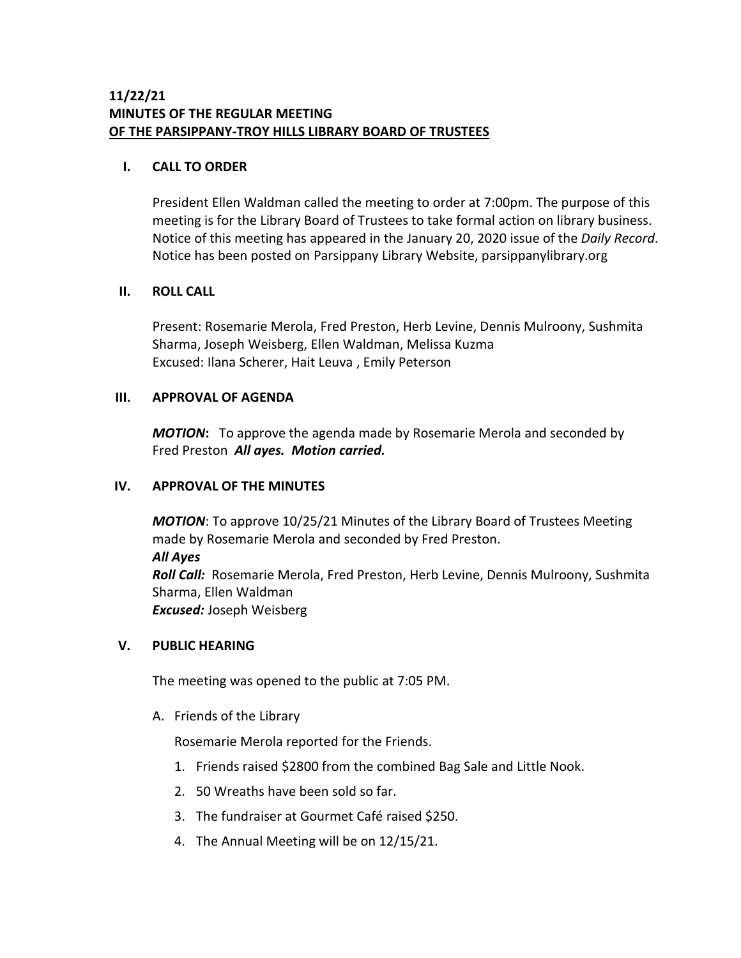# **11/22/21 MINUTES OF THE REGULAR MEETING OF THE PARSIPPANY-TROY HILLS LIBRARY BOARD OF TRUSTEES**

### **I. CALL TO ORDER**

President Ellen Waldman called the meeting to order at 7:00pm. The purpose of this meeting is for the Library Board of Trustees to take formal action on library business. Notice of this meeting has appeared in the January 20, 2020 issue of the *Daily Record*. Notice has been posted on Parsippany Library Website, parsippanylibrary.org

### **II. ROLL CALL**

Present: Rosemarie Merola, Fred Preston, Herb Levine, Dennis Mulroony, Sushmita Sharma, Joseph Weisberg, Ellen Waldman, Melissa Kuzma Excused: Ilana Scherer, Hait Leuva , Emily Peterson

## **III. APPROVAL OF AGENDA**

*MOTION***:** To approve the agenda made by Rosemarie Merola and seconded by Fred Preston *All ayes. Motion carried.*

# **IV. APPROVAL OF THE MINUTES**

*MOTION*: To approve 10/25/21 Minutes of the Library Board of Trustees Meeting made by Rosemarie Merola and seconded by Fred Preston. *All Ayes Roll Call:* Rosemarie Merola, Fred Preston, Herb Levine, Dennis Mulroony, Sushmita Sharma, Ellen Waldman *Excused:* Joseph Weisberg

## **V. PUBLIC HEARING**

The meeting was opened to the public at 7:05 PM.

A. Friends of the Library

Rosemarie Merola reported for the Friends.

- 1. Friends raised \$2800 from the combined Bag Sale and Little Nook.
- 2. 50 Wreaths have been sold so far.
- 3. The fundraiser at Gourmet Café raised \$250.
- 4. The Annual Meeting will be on 12/15/21.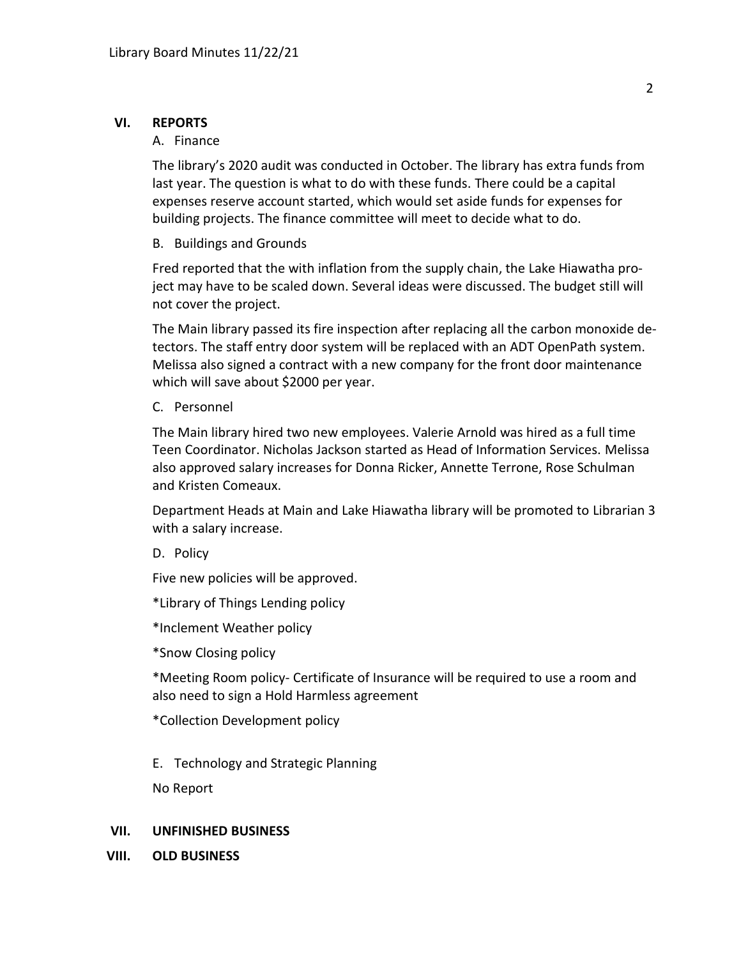#### **VI. REPORTS**

#### A. Finance

The library's 2020 audit was conducted in October. The library has extra funds from last year. The question is what to do with these funds. There could be a capital expenses reserve account started, which would set aside funds for expenses for building projects. The finance committee will meet to decide what to do.

B. Buildings and Grounds

Fred reported that the with inflation from the supply chain, the Lake Hiawatha project may have to be scaled down. Several ideas were discussed. The budget still will not cover the project.

The Main library passed its fire inspection after replacing all the carbon monoxide detectors. The staff entry door system will be replaced with an ADT OpenPath system. Melissa also signed a contract with a new company for the front door maintenance which will save about \$2000 per year.

#### C. Personnel

The Main library hired two new employees. Valerie Arnold was hired as a full time Teen Coordinator. Nicholas Jackson started as Head of Information Services. Melissa also approved salary increases for Donna Ricker, Annette Terrone, Rose Schulman and Kristen Comeaux.

Department Heads at Main and Lake Hiawatha library will be promoted to Librarian 3 with a salary increase.

D. Policy

Five new policies will be approved.

\*Library of Things Lending policy

\*Inclement Weather policy

\*Snow Closing policy

\*Meeting Room policy- Certificate of Insurance will be required to use a room and also need to sign a Hold Harmless agreement

\*Collection Development policy

E. Technology and Strategic Planning

No Report

#### **VII. UNFINISHED BUSINESS**

**VIII. OLD BUSINESS**